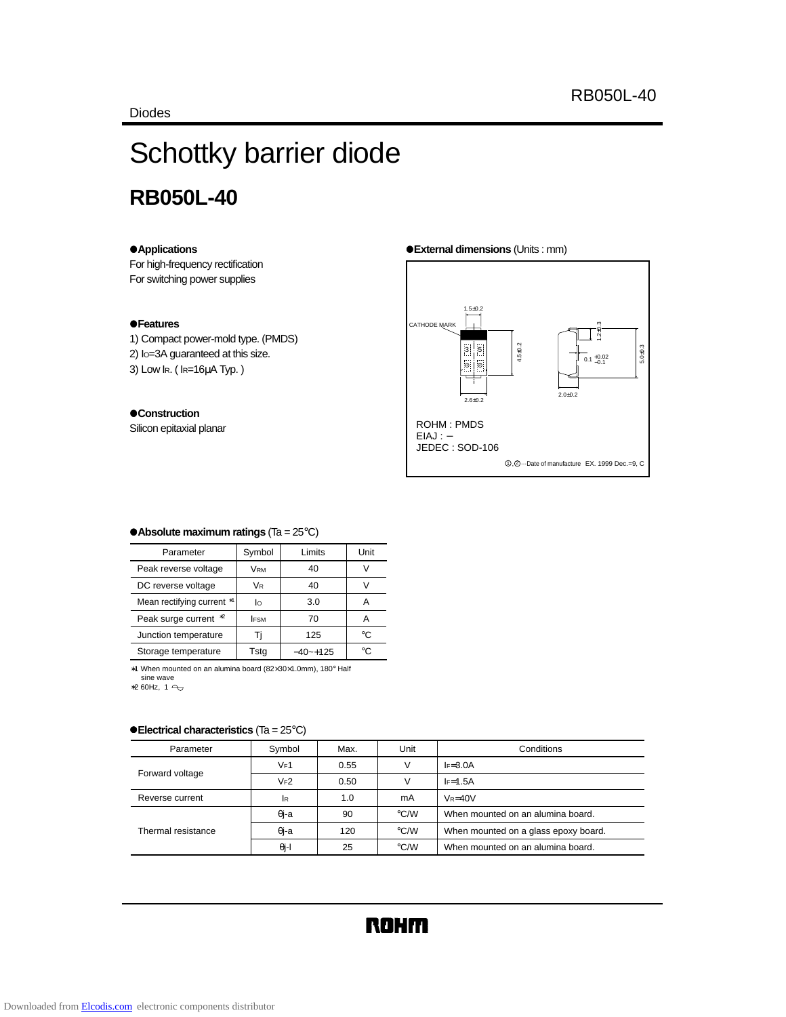# Schottky barrier diode **RB050L-40**

#### z**Applications**

For high-frequency rectification For switching power supplies

#### z**Features**

1) Compact power-mold type. (PMDS)

- 2) IO=3A guaranteed at this size.
- 3) Low IR. ( IR=16µA Typ. )

#### $\bullet$  Construction

Silicon epitaxial planar

#### z**External dimensions** (Units : mm)



#### z**Absolute maximum ratings** (Ta = 25°C)

| Parameter                  | Symbol<br>Limits |              | Unit |
|----------------------------|------------------|--------------|------|
| Peak reverse voltage       | VRM              | 40           |      |
| DC reverse voltage         | VR               | 40           | V    |
| Mean rectifying current *1 | Iо               | 3.0          | А    |
| Peak surge current *2      | <b>IFSM</b>      | 70           | А    |
| Junction temperature       |                  | 125          | ി∘   |
| Storage temperature        | Tsta             | $-40$ $-125$ | ി    |

∗1 When mounted on an alumina board (82×30×1.0mm), 180° Half

sine wave<br>4 1 4 60Hz, 3

### **• Electrical characteristics (Ta = 25°C)**

| Parameter          | Symbol       | Max. | Unit               | Conditions                           |
|--------------------|--------------|------|--------------------|--------------------------------------|
| Forward voltage    | VF1          | 0.55 | v                  | $I = 3.0A$                           |
|                    | $V_F2$       | 0.50 | v                  | $I = 1.5A$                           |
| Reverse current    | lR           | 1.0  | mA                 | $V_R = 40V$                          |
| Thermal resistance | $\theta$ j-a | 90   | $\degree$ C/W      | When mounted on an alumina board.    |
|                    | $\theta$ j-a | 120  | $\rm ^{\circ}$ C/W | When mounted on a glass epoxy board. |
|                    | $\theta$ j-l | 25   | °C/W               | When mounted on an alumina board.    |